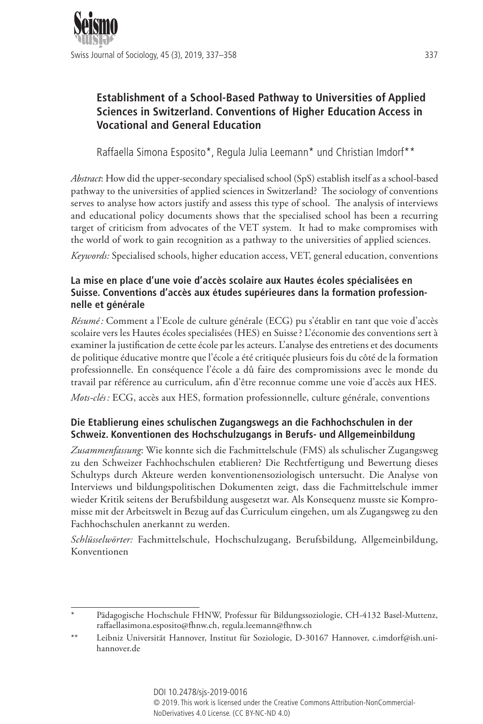# **Establishment of a School-Based Pathway to Universities of Applied Sciences in Switzerland. Conventions of Higher Education Access in Vocational and General Education**

Raffaella Simona Esposito\*, Regula Julia Leemann\* und Christian Imdorf\*\*

*Abstract*: How did the upper-secondary specialised school (SpS) establish itself as a school-based pathway to the universities of applied sciences in Switzerland? The sociology of conventions serves to analyse how actors justify and assess this type of school. The analysis of interviews and educational policy documents shows that the specialised school has been a recurring target of criticism from advocates of the VET system. It had to make compromises with the world of work to gain recognition as a pathway to the universities of applied sciences.

*Keywords:* Specialised schools, higher education access, VET, general education, conventions

# **La mise en place d'une voie d'accès scolaire aux Hautes écoles spécialisées en Suisse. Conventions d'accès aux études supérieures dans la formation professionnelle et générale**

*Résumé:* Comment a l'Ecole de culture générale (ECG) pu s'établir en tant que voie d'accès scolaire vers les Hautes écoles specialisées (HES) en Suisse? L'économie des conventions sert à examiner la justification de cette école par les acteurs. L'analyse des entretiens et des documents de politique éducative montre que l'école a été critiquée plusieurs fois du côté de la formation professionnelle. En conséquence l'école a dû faire des compromissions avec le monde du travail par référence au curriculum, afin d'être reconnue comme une voie d'accès aux HES. *Mots-clés :* ECG, accès aux HES, formation professionnelle, culture générale, conventions

# **Die Etablierung eines schulischen Zugangswegs an die Fachhochschulen in der Schweiz. Konventionen des Hochschulzugangs in Berufs- und Allgemeinbildung**

*Zusammenfassung*: Wie konnte sich die Fachmittelschule (FMS) als schulischer Zugangsweg zu den Schweizer Fachhochschulen etablieren? Die Rechtfertigung und Bewertung dieses Schultyps durch Akteure werden konventionensoziologisch untersucht. Die Analyse von Interviews und bildungspolitischen Dokumenten zeigt, dass die Fachmittelschule immer wieder Kritik seitens der Berufsbildung ausgesetzt war. Als Konsequenz musste sie Kompromisse mit der Arbeitswelt in Bezug auf das Curriculum eingehen, um als Zugangsweg zu den Fachhochschulen anerkannt zu werden.

*Schlüsselwörter:* Fachmittelschule, Hochschulzugang, Berufsbildung, Allgemeinbildung, Konventionen

Pädagogische Hochschule FHNW, Professur für Bildungssoziologie, CH-4132 Basel-Muttenz, raffaellasimona.esposito@fhnw.ch, regula.leemann@fhnw.ch

<sup>\*\*</sup> Leibniz Universität Hannover, Institut für Soziologie, D-30167 Hannover, c.imdorf@ish.unihannover.de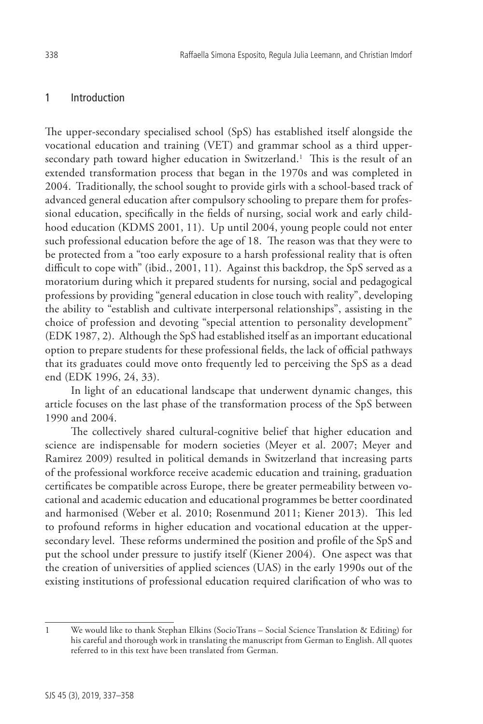## 1 Introduction

The upper-secondary specialised school (SpS) has established itself alongside the vocational education and training (VET) and grammar school as a third uppersecondary path toward higher education in Switzerland.<sup>1</sup> This is the result of an extended transformation process that began in the 1970s and was completed in 2004. Traditionally, the school sought to provide girls with a school-based track of advanced general education after compulsory schooling to prepare them for professional education, specifically in the fields of nursing, social work and early childhood education (KDMS 2001, 11). Up until 2004, young people could not enter such professional education before the age of 18. The reason was that they were to be protected from a "too early exposure to a harsh professional reality that is often difficult to cope with" (ibid., 2001, 11). Against this backdrop, the SpS served as a moratorium during which it prepared students for nursing, social and pedagogical professions by providing "general education in close touch with reality", developing the ability to "establish and cultivate interpersonal relationships", assisting in the choice of profession and devoting "special attention to personality development" (EDK 1987, 2). Although the SpS had established itself as an important educational option to prepare students for these professional fields, the lack of official pathways that its graduates could move onto frequently led to perceiving the SpS as a dead end (EDK 1996, 24, 33).

In light of an educational landscape that underwent dynamic changes, this article focuses on the last phase of the transformation process of the SpS between 1990 and 2004.

The collectively shared cultural-cognitive belief that higher education and science are indispensable for modern societies (Meyer et al. 2007; Meyer and Ramirez 2009) resulted in political demands in Switzerland that increasing parts of the professional workforce receive academic education and training, graduation certificates be compatible across Europe, there be greater permeability between vocational and academic education and educational programmes be better coordinated and harmonised (Weber et al. 2010; Rosenmund 2011; Kiener 2013). This led to profound reforms in higher education and vocational education at the uppersecondary level. These reforms undermined the position and profile of the SpS and put the school under pressure to justify itself (Kiener 2004). One aspect was that the creation of universities of applied sciences (UAS) in the early 1990s out of the existing institutions of professional education required clarification of who was to

<sup>1</sup> We would like to thank Stephan Elkins (SocioTrans – Social Science Translation & Editing) for his careful and thorough work in translating the manuscript from German to English. All quotes referred to in this text have been translated from German.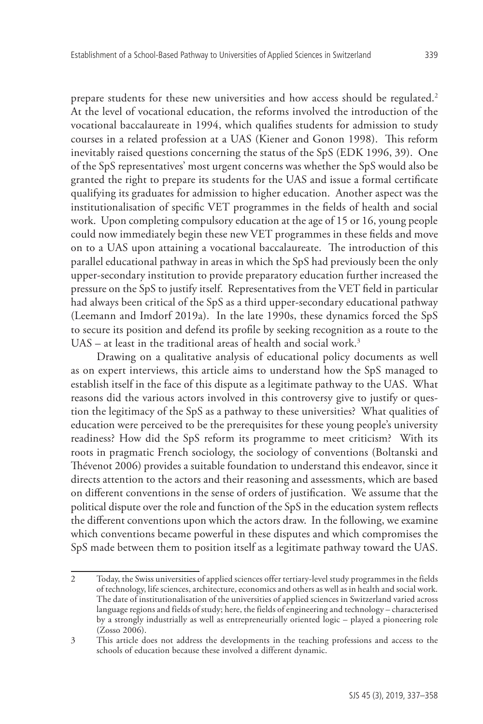prepare students for these new universities and how access should be regulated.<sup>2</sup> At the level of vocational education, the reforms involved the introduction of the vocational baccalaureate in 1994, which qualifies students for admission to study courses in a related profession at a UAS (Kiener and Gonon 1998). This reform inevitably raised questions concerning the status of the SpS (EDK 1996, 39). One of the SpS representatives' most urgent concerns was whether the SpS would also be granted the right to prepare its students for the UAS and issue a formal certificate qualifying its graduates for admission to higher education. Another aspect was the institutionalisation of specific VET programmes in the fields of health and social work. Upon completing compulsory education at the age of 15 or 16, young people could now immediately begin these new VET programmes in these fields and move on to a UAS upon attaining a vocational baccalaureate. The introduction of this parallel educational pathway in areas in which the SpS had previously been the only upper-secondary institution to provide preparatory education further increased the pressure on the SpS to justify itself. Representatives from the VET field in particular had always been critical of the SpS as a third upper-secondary educational pathway (Leemann and Imdorf 2019a). In the late 1990s, these dynamics forced the SpS to secure its position and defend its profile by seeking recognition as a route to the  $UAS - at least in the traditional areas of health and social work.<sup>3</sup>$ 

Drawing on a qualitative analysis of educational policy documents as well as on expert interviews, this article aims to understand how the SpS managed to establish itself in the face of this dispute as a legitimate pathway to the UAS. What reasons did the various actors involved in this controversy give to justify or question the legitimacy of the SpS as a pathway to these universities? What qualities of education were perceived to be the prerequisites for these young people's university readiness? How did the SpS reform its programme to meet criticism? With its roots in pragmatic French sociology, the sociology of conventions (Boltanski and Thévenot 2006) provides a suitable foundation to understand this endeavor, since it directs attention to the actors and their reasoning and assessments, which are based on different conventions in the sense of orders of justification. We assume that the political dispute over the role and function of the SpS in the education system reflects the different conventions upon which the actors draw. In the following, we examine which conventions became powerful in these disputes and which compromises the SpS made between them to position itself as a legitimate pathway toward the UAS.

<sup>2</sup> Today, the Swiss universities of applied sciences offer tertiary-level study programmes in the fields of technology, life sciences, architecture, economics and others as well as in health and social work. The date of institutionalisation of the universities of applied sciences in Switzerland varied across language regions and fields of study; here, the fields of engineering and technology – characterised by a strongly industrially as well as entrepreneurially oriented logic – played a pioneering role (Zosso 2006).

<sup>3</sup> This article does not address the developments in the teaching professions and access to the schools of education because these involved a different dynamic.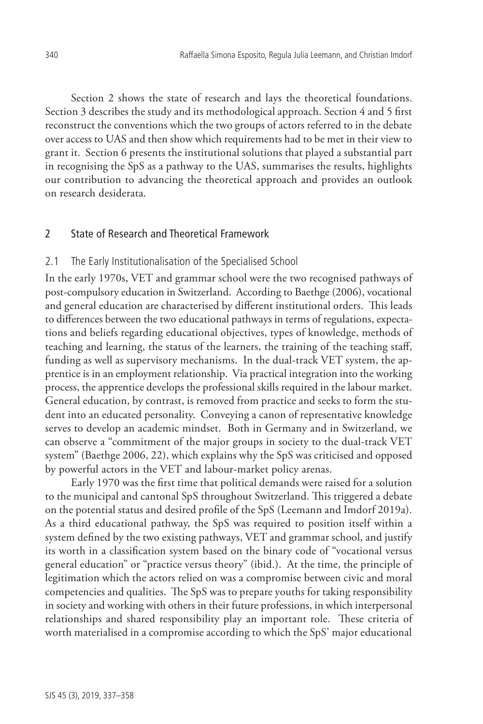Section 2 shows the state of research and lays the theoretical foundations. Section 3 describes the study and its methodological approach. Section 4 and 5 first reconstruct the conventions which the two groups of actors referred to in the debate over access to UAS and then show which requirements had to be met in their view to grant it. Section 6 presents the institutional solutions that played a substantial part in recognising the SpS as a pathway to the UAS, summarises the results, highlights our contribution to advancing the theoretical approach and provides an outlook on research desiderata.

## 2 State of Research and Theoretical Framework

## 2.1 The Early Institutionalisation of the Specialised School

In the early 1970s, VET and grammar school were the two recognised pathways of post-compulsory education in Switzerland. According to Baethge (2006), vocational and general education are characterised by different institutional orders. This leads to differences between the two educational pathways in terms of regulations, expectations and beliefs regarding educational objectives, types of knowledge, methods of teaching and learning, the status of the learners, the training of the teaching staff, funding as well as supervisory mechanisms. In the dual-track VET system, the apprentice is in an employment relationship. Via practical integration into the working process, the apprentice develops the professional skills required in the labour market. General education, by contrast, is removed from practice and seeks to form the student into an educated personality. Conveying a canon of representative knowledge serves to develop an academic mindset. Both in Germany and in Switzerland, we can observe a "commitment of the major groups in society to the dual-track VET system" (Baethge 2006, 22), which explains why the SpS was criticised and opposed by powerful actors in the VET and labour-market policy arenas.

Early 1970 was the first time that political demands were raised for a solution to the municipal and cantonal SpS throughout Switzerland. This triggered a debate on the potential status and desired profile of the SpS (Leemann and Imdorf 2019a). As a third educational pathway, the SpS was required to position itself within a system defined by the two existing pathways, VET and grammar school, and justify its worth in a classification system based on the binary code of "vocational versus general education" or "practice versus theory" (ibid.). At the time, the principle of legitimation which the actors relied on was a compromise between civic and moral competencies and qualities. The SpS was to prepare youths for taking responsibility in society and working with others in their future professions, in which interpersonal relationships and shared responsibility play an important role. These criteria of worth materialised in a compromise according to which the SpS' major educational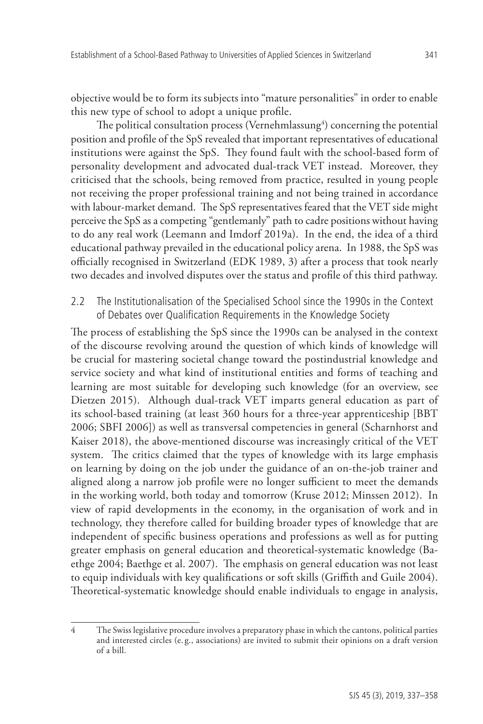objective would be to form its subjects into "mature personalities" in order to enable this new type of school to adopt a unique profile.

The political consultation process (Vernehmlassung $4$ ) concerning the potential position and profile of the SpS revealed that important representatives of educational institutions were against the SpS. They found fault with the school-based form of personality development and advocated dual-track VET instead. Moreover, they criticised that the schools, being removed from practice, resulted in young people not receiving the proper professional training and not being trained in accordance with labour-market demand. The SpS representatives feared that the VET side might perceive the SpS as a competing "gentlemanly" path to cadre positions without having to do any real work (Leemann and Imdorf 2019a). In the end, the idea of a third educational pathway prevailed in the educational policy arena. In 1988, the SpS was officially recognised in Switzerland (EDK 1989, 3) after a process that took nearly two decades and involved disputes over the status and profile of this third pathway.

# 2.2 The Institutionalisation of the Specialised School since the 1990s in the Context of Debates over Qualification Requirements in the Knowledge Society

The process of establishing the SpS since the 1990s can be analysed in the context of the discourse revolving around the question of which kinds of knowledge will be crucial for mastering societal change toward the postindustrial knowledge and service society and what kind of institutional entities and forms of teaching and learning are most suitable for developing such knowledge (for an overview, see Dietzen 2015). Although dual-track VET imparts general education as part of its school-based training (at least 360 hours for a three-year apprenticeship [BBT 2006; SBFI 2006]) as well as transversal competencies in general (Scharnhorst and Kaiser 2018), the above-mentioned discourse was increasingly critical of the VET system. The critics claimed that the types of knowledge with its large emphasis on learning by doing on the job under the guidance of an on-the-job trainer and aligned along a narrow job profile were no longer sufficient to meet the demands in the working world, both today and tomorrow (Kruse 2012; Minssen 2012). In view of rapid developments in the economy, in the organisation of work and in technology, they therefore called for building broader types of knowledge that are independent of specific business operations and professions as well as for putting greater emphasis on general education and theoretical-systematic knowledge (Baethge 2004; Baethge et al. 2007). The emphasis on general education was not least to equip individuals with key qualifications or soft skills (Griffith and Guile 2004). Theoretical-systematic knowledge should enable individuals to engage in analysis,

<sup>4</sup> The Swiss legislative procedure involves a preparatory phase in which the cantons, political parties and interested circles (e. g., associations) are invited to submit their opinions on a draft version of a bill.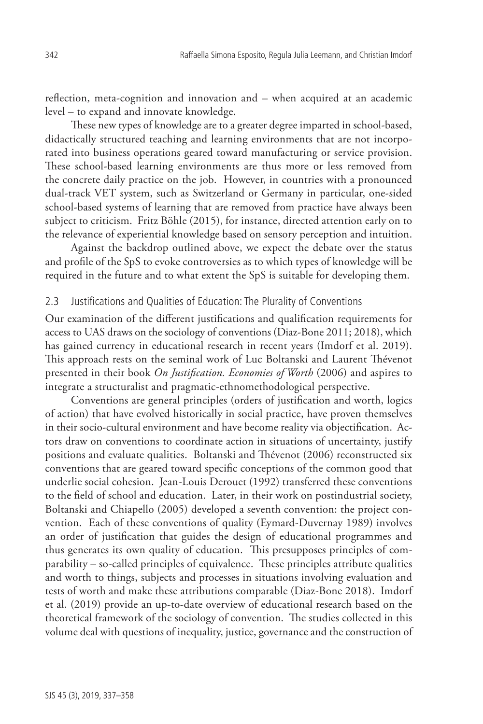reflection, meta-cognition and innovation and – when acquired at an academic level – to expand and innovate knowledge.

These new types of knowledge are to a greater degree imparted in school-based, didactically structured teaching and learning environments that are not incorporated into business operations geared toward manufacturing or service provision. These school-based learning environments are thus more or less removed from the concrete daily practice on the job. However, in countries with a pronounced dual-track VET system, such as Switzerland or Germany in particular, one-sided school-based systems of learning that are removed from practice have always been subject to criticism. Fritz Böhle (2015), for instance, directed attention early on to the relevance of experiential knowledge based on sensory perception and intuition.

Against the backdrop outlined above, we expect the debate over the status and profile of the SpS to evoke controversies as to which types of knowledge will be required in the future and to what extent the SpS is suitable for developing them.

### 2.3 Justifications and Qualities of Education: The Plurality of Conventions

Our examination of the different justifications and qualification requirements for access to UAS draws on the sociology of conventions (Diaz-Bone 2011; 2018), which has gained currency in educational research in recent years (Imdorf et al. 2019). This approach rests on the seminal work of Luc Boltanski and Laurent Thévenot presented in their book *On Justification. Economies of Worth* (2006) and aspires to integrate a structuralist and pragmatic-ethnomethodological perspective.

Conventions are general principles (orders of justification and worth, logics of action) that have evolved historically in social practice, have proven themselves in their socio-cultural environment and have become reality via objectification. Actors draw on conventions to coordinate action in situations of uncertainty, justify positions and evaluate qualities. Boltanski and Thévenot (2006) reconstructed six conventions that are geared toward specific conceptions of the common good that underlie social cohesion. Jean-Louis Derouet (1992) transferred these conventions to the field of school and education. Later, in their work on postindustrial society, Boltanski and Chiapello (2005) developed a seventh convention: the project convention. Each of these conventions of quality (Eymard-Duvernay 1989) involves an order of justification that guides the design of educational programmes and thus generates its own quality of education. This presupposes principles of comparability – so-called principles of equivalence. These principles attribute qualities and worth to things, subjects and processes in situations involving evaluation and tests of worth and make these attributions comparable (Diaz-Bone 2018). Imdorf et al. (2019) provide an up-to-date overview of educational research based on the theoretical framework of the sociology of convention. The studies collected in this volume deal with questions of inequality, justice, governance and the construction of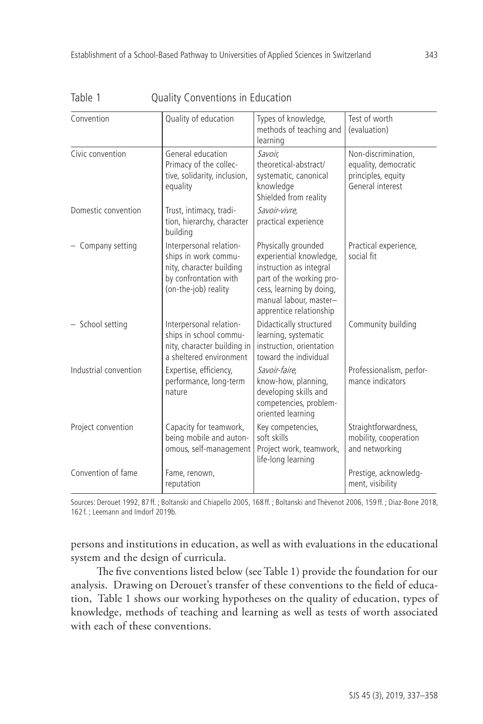| Convention            | Quality of education                                                                                                         | Types of knowledge,<br>methods of teaching and<br>learning                                                                                                                             | Test of worth<br>(evaluation)                                                         |
|-----------------------|------------------------------------------------------------------------------------------------------------------------------|----------------------------------------------------------------------------------------------------------------------------------------------------------------------------------------|---------------------------------------------------------------------------------------|
| Civic convention      | General education<br>Primacy of the collec-<br>tive, solidarity, inclusion,<br>equality                                      | Savoir.<br>theoretical-abstract/<br>systematic, canonical<br>knowledge<br>Shielded from reality                                                                                        | Non-discrimination,<br>equality, democratic<br>principles, equity<br>General interest |
| Domestic convention   | Trust, intimacy, tradi-<br>tion, hierarchy, character<br>building                                                            | Savoir-vivre.<br>practical experience                                                                                                                                                  |                                                                                       |
| - Company setting     | Interpersonal relation-<br>ships in work commu-<br>nity, character building<br>by confrontation with<br>(on-the-job) reality | Physically grounded<br>experiential knowledge,<br>instruction as integral<br>part of the working pro-<br>cess, learning by doing,<br>manual labour, master-<br>apprentice relationship | Practical experience,<br>social fit                                                   |
| - School setting      | Interpersonal relation-<br>ships in school commu-<br>nity, character building in<br>a sheltered environment                  | Didactically structured<br>learning, systematic<br>instruction, orientation<br>toward the individual                                                                                   | Community building                                                                    |
| Industrial convention | Expertise, efficiency,<br>performance, long-term<br>nature                                                                   | Savoir-faire.<br>know-how, planning,<br>developing skills and<br>competencies, problem-<br>oriented learning                                                                           | Professionalism, perfor-<br>mance indicators                                          |
| Project convention    | Capacity for teamwork,<br>being mobile and auton-<br>omous, self-management                                                  | Key competencies,<br>soft skills<br>Project work, teamwork,<br>life-long learning                                                                                                      | Straightforwardness,<br>mobility, cooperation<br>and networking                       |
| Convention of fame    | Fame, renown,<br>reputation                                                                                                  |                                                                                                                                                                                        | Prestige, acknowledg-<br>ment, visibility                                             |

Table 1 **Quality Conventions in Education** 

Sources: Derouet 1992, 87 ff. ; Boltanski and Chiapello 2005, 168 ff. ; Boltanski and Thévenot 2006, 159 ff. ; Diaz-Bone 2018, 162 f. ; Leemann and Imdorf 2019b.

persons and institutions in education, as well as with evaluations in the educational system and the design of curricula.

The five conventions listed below (see Table 1) provide the foundation for our analysis. Drawing on Derouet's transfer of these conventions to the field of education, Table 1 shows our working hypotheses on the quality of education, types of knowledge, methods of teaching and learning as well as tests of worth associated with each of these conventions.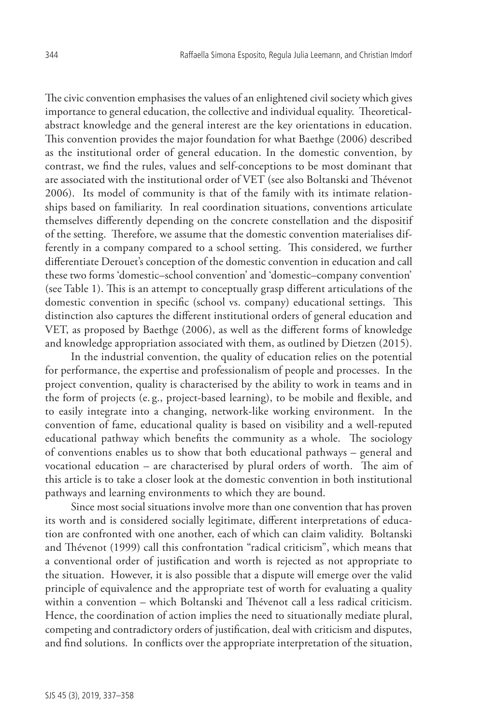The civic convention emphasises the values of an enlightened civil society which gives importance to general education, the collective and individual equality. Theoreticalabstract knowledge and the general interest are the key orientations in education. This convention provides the major foundation for what Baethge (2006) described as the institutional order of general education. In the domestic convention, by contrast, we find the rules, values and self-conceptions to be most dominant that are associated with the institutional order of VET (see also Boltanski and Thévenot 2006). Its model of community is that of the family with its intimate relationships based on familiarity. In real coordination situations, conventions articulate themselves differently depending on the concrete constellation and the dispositif of the setting. Therefore, we assume that the domestic convention materialises differently in a company compared to a school setting. This considered, we further differentiate Derouet's conception of the domestic convention in education and call these two forms 'domestic–school convention' and 'domestic–company convention' (see Table 1). This is an attempt to conceptually grasp different articulations of the domestic convention in specific (school vs. company) educational settings. This distinction also captures the different institutional orders of general education and VET, as proposed by Baethge (2006), as well as the different forms of knowledge and knowledge appropriation associated with them, as outlined by Dietzen (2015).

In the industrial convention, the quality of education relies on the potential for performance, the expertise and professionalism of people and processes. In the project convention, quality is characterised by the ability to work in teams and in the form of projects (e. g., project-based learning), to be mobile and flexible, and to easily integrate into a changing, network-like working environment. In the convention of fame, educational quality is based on visibility and a well-reputed educational pathway which benefits the community as a whole. The sociology of conventions enables us to show that both educational pathways – general and vocational education – are characterised by plural orders of worth. The aim of this article is to take a closer look at the domestic convention in both institutional pathways and learning environments to which they are bound.

Since most social situations involve more than one convention that has proven its worth and is considered socially legitimate, different interpretations of education are confronted with one another, each of which can claim validity. Boltanski and Thévenot (1999) call this confrontation "radical criticism", which means that a conventional order of justification and worth is rejected as not appropriate to the situation. However, it is also possible that a dispute will emerge over the valid principle of equivalence and the appropriate test of worth for evaluating a quality within a convention – which Boltanski and Thévenot call a less radical criticism. Hence, the coordination of action implies the need to situationally mediate plural, competing and contradictory orders of justification, deal with criticism and disputes, and find solutions. In conflicts over the appropriate interpretation of the situation,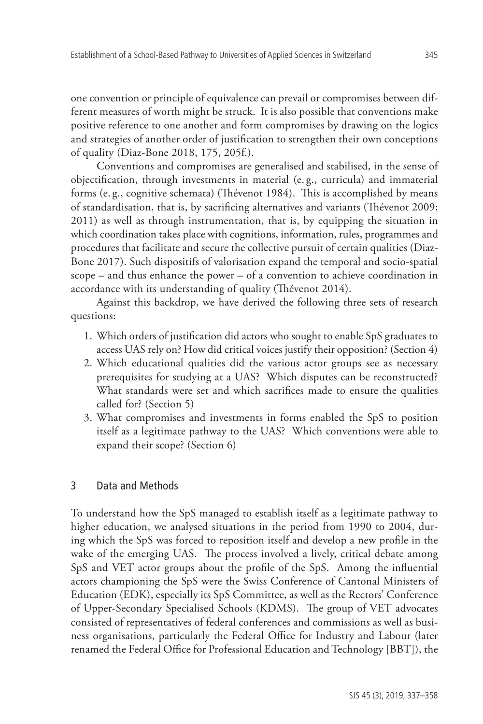one convention or principle of equivalence can prevail or compromises between different measures of worth might be struck. It is also possible that conventions make positive reference to one another and form compromises by drawing on the logics and strategies of another order of justification to strengthen their own conceptions of quality (Diaz-Bone 2018, 175, 205f.).

Conventions and compromises are generalised and stabilised, in the sense of objectification, through investments in material (e. g., curricula) and immaterial forms (e. g., cognitive schemata) (Thévenot 1984). This is accomplished by means of standardisation, that is, by sacrificing alternatives and variants (Thévenot 2009; 2011) as well as through instrumentation, that is, by equipping the situation in which coordination takes place with cognitions, information, rules, programmes and procedures that facilitate and secure the collective pursuit of certain qualities (Diaz-Bone 2017). Such dispositifs of valorisation expand the temporal and socio-spatial scope – and thus enhance the power – of a convention to achieve coordination in accordance with its understanding of quality (Thévenot 2014).

Against this backdrop, we have derived the following three sets of research questions:

- 1. Which orders of justification did actors who sought to enable SpS graduates to access UAS rely on? How did critical voices justify their opposition? (Section 4)
- 2. Which educational qualities did the various actor groups see as necessary prerequisites for studying at a UAS? Which disputes can be reconstructed? What standards were set and which sacrifices made to ensure the qualities called for? (Section 5)
- 3. What compromises and investments in forms enabled the SpS to position itself as a legitimate pathway to the UAS? Which conventions were able to expand their scope? (Section 6)

## 3 Data and Methods

To understand how the SpS managed to establish itself as a legitimate pathway to higher education, we analysed situations in the period from 1990 to 2004, during which the SpS was forced to reposition itself and develop a new profile in the wake of the emerging UAS. The process involved a lively, critical debate among SpS and VET actor groups about the profile of the SpS. Among the influential actors championing the SpS were the Swiss Conference of Cantonal Ministers of Education (EDK), especially its SpS Committee, as well as the Rectors' Conference of Upper-Secondary Specialised Schools (KDMS). The group of VET advocates consisted of representatives of federal conferences and commissions as well as business organisations, particularly the Federal Office for Industry and Labour (later renamed the Federal Office for Professional Education and Technology [BBT]), the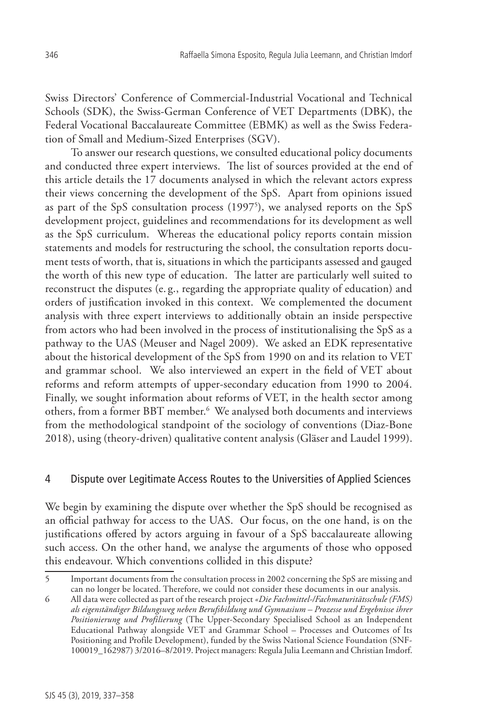Swiss Directors' Conference of Commercial-Industrial Vocational and Technical Schools (SDK), the Swiss-German Conference of VET Departments (DBK), the Federal Vocational Baccalaureate Committee (EBMK) as well as the Swiss Federation of Small and Medium-Sized Enterprises (SGV).

To answer our research questions, we consulted educational policy documents and conducted three expert interviews. The list of sources provided at the end of this article details the 17 documents analysed in which the relevant actors express their views concerning the development of the SpS. Apart from opinions issued as part of the SpS consultation process (1997<sup>5</sup>), we analysed reports on the SpS development project, guidelines and recommendations for its development as well as the SpS curriculum. Whereas the educational policy reports contain mission statements and models for restructuring the school, the consultation reports document tests of worth, that is, situations in which the participants assessed and gauged the worth of this new type of education. The latter are particularly well suited to reconstruct the disputes (e. g., regarding the appropriate quality of education) and orders of justification invoked in this context. We complemented the document analysis with three expert interviews to additionally obtain an inside perspective from actors who had been involved in the process of institutionalising the SpS as a pathway to the UAS (Meuser and Nagel 2009). We asked an EDK representative about the historical development of the SpS from 1990 on and its relation to VET and grammar school. We also interviewed an expert in the field of VET about reforms and reform attempts of upper-secondary education from 1990 to 2004. Finally, we sought information about reforms of VET, in the health sector among others, from a former BBT member.6 We analysed both documents and interviews from the methodological standpoint of the sociology of conventions (Diaz-Bone 2018), using (theory-driven) qualitative content analysis (Gläser and Laudel 1999).

## 4 Dispute over Legitimate Access Routes to the Universities of Applied Sciences

We begin by examining the dispute over whether the SpS should be recognised as an official pathway for access to the UAS. Our focus, on the one hand, is on the justifications offered by actors arguing in favour of a SpS baccalaureate allowing such access. On the other hand, we analyse the arguments of those who opposed this endeavour. Which conventions collided in this dispute?

<sup>5</sup> Important documents from the consultation process in 2002 concerning the SpS are missing and can no longer be located. Therefore, we could not consider these documents in our analysis.

<sup>6</sup> All data were collected as part of the research project *«Die Fachmittel-/Fachmaturitätsschule (FMS) als eigenständiger Bildungsweg neben Berufsbildung und Gymnasium – Prozesse und Ergebnisse ihrer Positionierung und Profilierung* (The Upper-Secondary Specialised School as an Independent Educational Pathway alongside VET and Grammar School – Processes and Outcomes of Its Positioning and Profile Development), funded by the Swiss National Science Foundation (SNF-100019\_162987) 3/2016–8/2019. Project managers: Regula Julia Leemann and Christian Imdorf.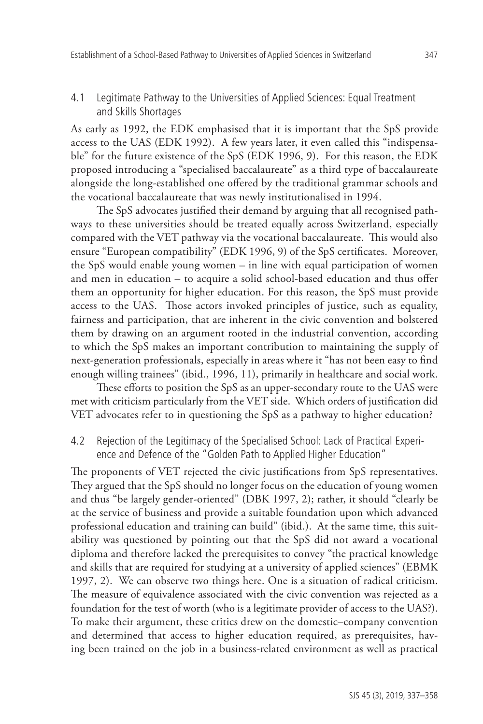4.1 Legitimate Pathway to the Universities of Applied Sciences: Equal Treatment and Skills Shortages

As early as 1992, the EDK emphasised that it is important that the SpS provide access to the UAS (EDK 1992). A few years later, it even called this "indispensable" for the future existence of the SpS (EDK 1996, 9). For this reason, the EDK proposed introducing a "specialised baccalaureate" as a third type of baccalaureate alongside the long-established one offered by the traditional grammar schools and the vocational baccalaureate that was newly institutionalised in 1994.

The SpS advocates justified their demand by arguing that all recognised pathways to these universities should be treated equally across Switzerland, especially compared with the VET pathway via the vocational baccalaureate. This would also ensure "European compatibility" (EDK 1996, 9) of the SpS certificates. Moreover, the SpS would enable young women – in line with equal participation of women and men in education – to acquire a solid school-based education and thus offer them an opportunity for higher education. For this reason, the SpS must provide access to the UAS. Those actors invoked principles of justice, such as equality, fairness and participation, that are inherent in the civic convention and bolstered them by drawing on an argument rooted in the industrial convention, according to which the SpS makes an important contribution to maintaining the supply of next-generation professionals, especially in areas where it "has not been easy to find enough willing trainees" (ibid., 1996, 11), primarily in healthcare and social work.

These efforts to position the SpS as an upper-secondary route to the UAS were met with criticism particularly from the VET side. Which orders of justification did VET advocates refer to in questioning the SpS as a pathway to higher education?

4.2 Rejection of the Legitimacy of the Specialised School: Lack of Practical Experience and Defence of the "Golden Path to Applied Higher Education"

The proponents of VET rejected the civic justifications from SpS representatives. They argued that the SpS should no longer focus on the education of young women and thus "be largely gender-oriented" (DBK 1997, 2); rather, it should "clearly be at the service of business and provide a suitable foundation upon which advanced professional education and training can build" (ibid.). At the same time, this suitability was questioned by pointing out that the SpS did not award a vocational diploma and therefore lacked the prerequisites to convey "the practical knowledge and skills that are required for studying at a university of applied sciences" (EBMK 1997, 2). We can observe two things here. One is a situation of radical criticism. The measure of equivalence associated with the civic convention was rejected as a foundation for the test of worth (who is a legitimate provider of access to the UAS?). To make their argument, these critics drew on the domestic–company convention and determined that access to higher education required, as prerequisites, having been trained on the job in a business-related environment as well as practical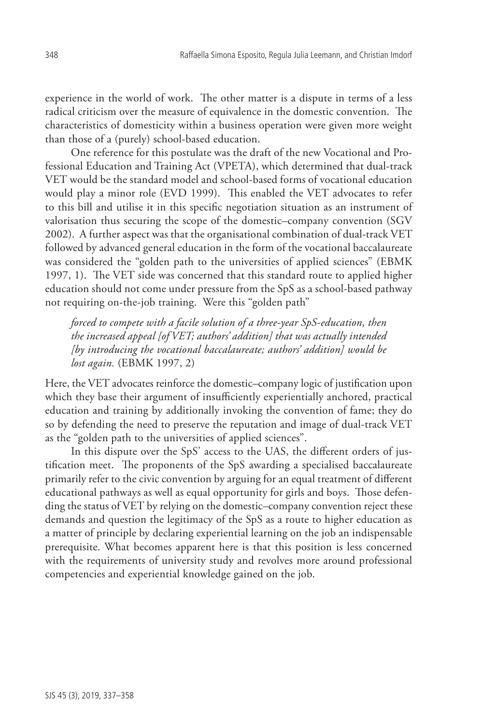experience in the world of work. The other matter is a dispute in terms of a less radical criticism over the measure of equivalence in the domestic convention. The characteristics of domesticity within a business operation were given more weight than those of a (purely) school-based education.

One reference for this postulate was the draft of the new Vocational and Professional Education and Training Act (VPETA), which determined that dual-track VET would be the standard model and school-based forms of vocational education would play a minor role (EVD 1999). This enabled the VET advocates to refer to this bill and utilise it in this specific negotiation situation as an instrument of valorisation thus securing the scope of the domestic–company convention (SGV 2002). A further aspect was that the organisational combination of dual-track VET followed by advanced general education in the form of the vocational baccalaureate was considered the "golden path to the universities of applied sciences" (EBMK 1997, 1). The VET side was concerned that this standard route to applied higher education should not come under pressure from the SpS as a school-based pathway not requiring on-the-job training. Were this "golden path"

*forced to compete with a facile solution of a three-year SpS-education, then the increased appeal [of VET; authors' addition] that was actually intended [by introducing the vocational baccalaureate; authors' addition] would be lost again.* (EBMK 1997, 2)

Here, the VET advocates reinforce the domestic–company logic of justification upon which they base their argument of insufficiently experientially anchored, practical education and training by additionally invoking the convention of fame; they do so by defending the need to preserve the reputation and image of dual-track VET as the "golden path to the universities of applied sciences".

In this dispute over the SpS' access to the UAS, the different orders of justification meet. The proponents of the SpS awarding a specialised baccalaureate primarily refer to the civic convention by arguing for an equal treatment of different educational pathways as well as equal opportunity for girls and boys. Those defending the status of VET by relying on the domestic–company convention reject these demands and question the legitimacy of the SpS as a route to higher education as a matter of principle by declaring experiential learning on the job an indispensable prerequisite. What becomes apparent here is that this position is less concerned with the requirements of university study and revolves more around professional competencies and experiential knowledge gained on the job.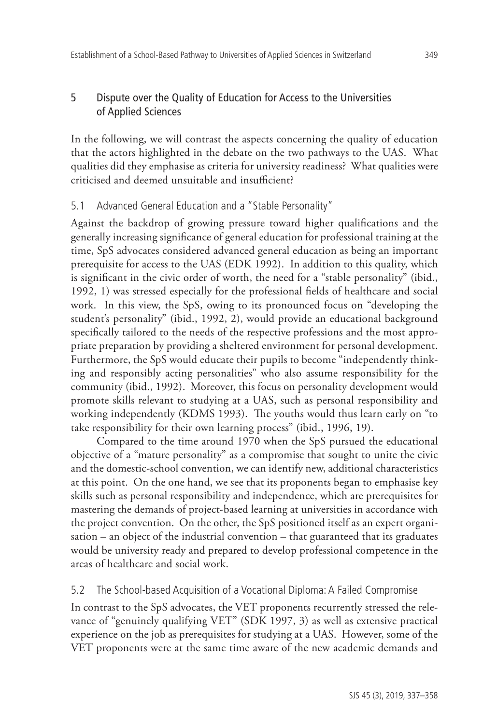# 5 Dispute over the Quality of Education for Access to the Universities of Applied Sciences

In the following, we will contrast the aspects concerning the quality of education that the actors highlighted in the debate on the two pathways to the UAS. What qualities did they emphasise as criteria for university readiness? What qualities were criticised and deemed unsuitable and insufficient?

# 5.1 Advanced General Education and a "Stable Personality"

Against the backdrop of growing pressure toward higher qualifications and the generally increasing significance of general education for professional training at the time, SpS advocates considered advanced general education as being an important prerequisite for access to the UAS (EDK 1992). In addition to this quality, which is significant in the civic order of worth, the need for a "stable personality" (ibid., 1992, 1) was stressed especially for the professional fields of healthcare and social work. In this view, the SpS, owing to its pronounced focus on "developing the student's personality" (ibid., 1992, 2), would provide an educational background specifically tailored to the needs of the respective professions and the most appropriate preparation by providing a sheltered environment for personal development. Furthermore, the SpS would educate their pupils to become "independently thinking and responsibly acting personalities" who also assume responsibility for the community (ibid., 1992). Moreover, this focus on personality development would promote skills relevant to studying at a UAS, such as personal responsibility and working independently (KDMS 1993). The youths would thus learn early on "to take responsibility for their own learning process" (ibid., 1996, 19).

Compared to the time around 1970 when the SpS pursued the educational objective of a "mature personality" as a compromise that sought to unite the civic and the domestic-school convention, we can identify new, additional characteristics at this point. On the one hand, we see that its proponents began to emphasise key skills such as personal responsibility and independence, which are prerequisites for mastering the demands of project-based learning at universities in accordance with the project convention. On the other, the SpS positioned itself as an expert organisation – an object of the industrial convention – that guaranteed that its graduates would be university ready and prepared to develop professional competence in the areas of healthcare and social work.

# 5.2 The School-based Acquisition of a Vocational Diploma: A Failed Compromise

In contrast to the SpS advocates, the VET proponents recurrently stressed the relevance of "genuinely qualifying VET" (SDK 1997, 3) as well as extensive practical experience on the job as prerequisites for studying at a UAS. However, some of the VET proponents were at the same time aware of the new academic demands and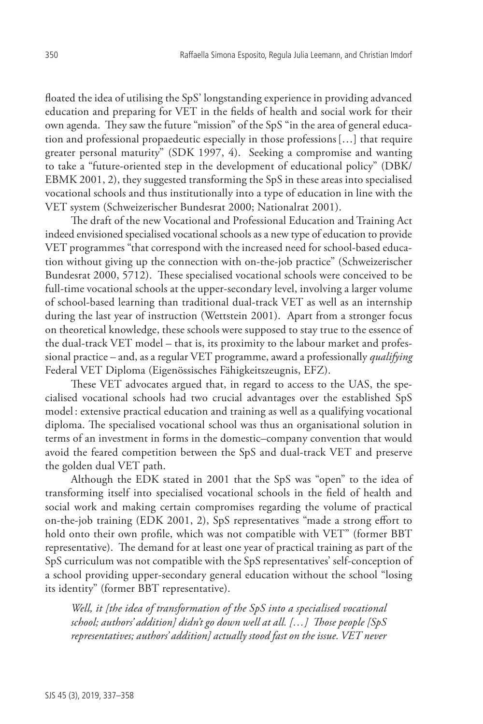floated the idea of utilising the SpS' longstanding experience in providing advanced education and preparing for VET in the fields of health and social work for their own agenda. They saw the future "mission" of the SpS "in the area of general education and professional propaedeutic especially in those professions[…] that require greater personal maturity" (SDK 1997, 4). Seeking a compromise and wanting to take a "future-oriented step in the development of educational policy" (DBK/ EBMK 2001, 2), they suggested transforming the SpS in these areas into specialised vocational schools and thus institutionally into a type of education in line with the VET system (Schweizerischer Bundesrat 2000; Nationalrat 2001).

The draft of the new Vocational and Professional Education and Training Act indeed envisioned specialised vocational schools as a new type of education to provide VET programmes "that correspond with the increased need for school-based education without giving up the connection with on-the-job practice" (Schweizerischer Bundesrat 2000, 5712). These specialised vocational schools were conceived to be full-time vocational schools at the upper-secondary level, involving a larger volume of school-based learning than traditional dual-track VET as well as an internship during the last year of instruction (Wettstein 2001). Apart from a stronger focus on theoretical knowledge, these schools were supposed to stay true to the essence of the dual-track VET model – that is, its proximity to the labour market and professional practice – and, as a regular VET programme, award a professionally *qualifying* Federal VET Diploma (Eigenössisches Fähigkeitszeugnis, EFZ).

These VET advocates argued that, in regard to access to the UAS, the specialised vocational schools had two crucial advantages over the established SpS model : extensive practical education and training as well as a qualifying vocational diploma. The specialised vocational school was thus an organisational solution in terms of an investment in forms in the domestic–company convention that would avoid the feared competition between the SpS and dual-track VET and preserve the golden dual VET path.

Although the EDK stated in 2001 that the SpS was "open" to the idea of transforming itself into specialised vocational schools in the field of health and social work and making certain compromises regarding the volume of practical on-the-job training (EDK 2001, 2), SpS representatives "made a strong effort to hold onto their own profile, which was not compatible with VET" (former BBT representative). The demand for at least one year of practical training as part of the SpS curriculum was not compatible with the SpS representatives' self-conception of a school providing upper-secondary general education without the school "losing its identity" (former BBT representative).

*Well, it [the idea of transformation of the SpS into a specialised vocational school; authors' addition] didn't go down well at all. […] Those people [SpS representatives; authors' addition] actually stood fast on the issue. VET never*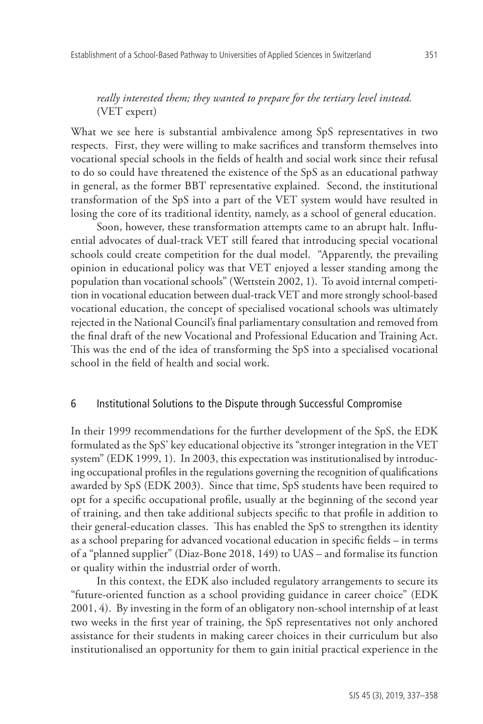# *really interested them; they wanted to prepare for the tertiary level instead.*  (VET expert)

What we see here is substantial ambivalence among SpS representatives in two respects. First, they were willing to make sacrifices and transform themselves into vocational special schools in the fields of health and social work since their refusal to do so could have threatened the existence of the SpS as an educational pathway in general, as the former BBT representative explained. Second, the institutional transformation of the SpS into a part of the VET system would have resulted in losing the core of its traditional identity, namely, as a school of general education.

Soon, however, these transformation attempts came to an abrupt halt. Influential advocates of dual-track VET still feared that introducing special vocational schools could create competition for the dual model. "Apparently, the prevailing opinion in educational policy was that VET enjoyed a lesser standing among the population than vocational schools" (Wettstein 2002, 1). To avoid internal competition in vocational education between dual-track VET and more strongly school-based vocational education, the concept of specialised vocational schools was ultimately rejected in the National Council's final parliamentary consultation and removed from the final draft of the new Vocational and Professional Education and Training Act. This was the end of the idea of transforming the SpS into a specialised vocational school in the field of health and social work.

#### 6 Institutional Solutions to the Dispute through Successful Compromise

In their 1999 recommendations for the further development of the SpS, the EDK formulated as the SpS' key educational objective its "stronger integration in the VET system" (EDK 1999, 1). In 2003, this expectation was institutionalised by introducing occupational profiles in the regulations governing the recognition of qualifications awarded by SpS (EDK 2003). Since that time, SpS students have been required to opt for a specific occupational profile, usually at the beginning of the second year of training, and then take additional subjects specific to that profile in addition to their general-education classes. This has enabled the SpS to strengthen its identity as a school preparing for advanced vocational education in specific fields – in terms of a "planned supplier" (Diaz-Bone 2018, 149) to UAS – and formalise its function or quality within the industrial order of worth.

In this context, the EDK also included regulatory arrangements to secure its "future-oriented function as a school providing guidance in career choice" (EDK 2001, 4). By investing in the form of an obligatory non-school internship of at least two weeks in the first year of training, the SpS representatives not only anchored assistance for their students in making career choices in their curriculum but also institutionalised an opportunity for them to gain initial practical experience in the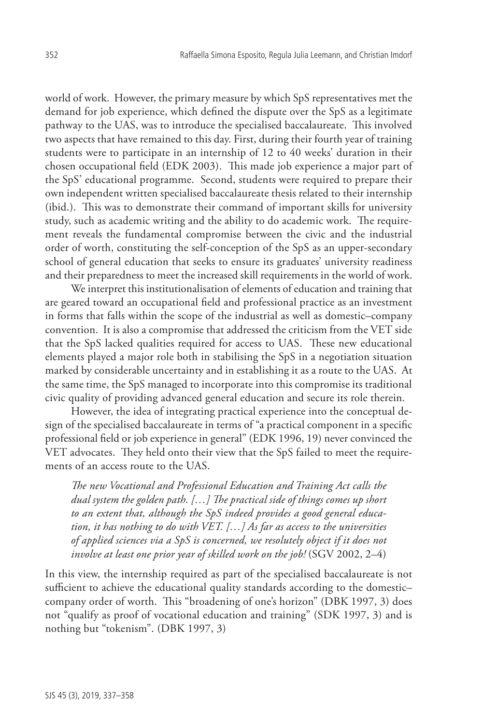world of work. However, the primary measure by which SpS representatives met the demand for job experience, which defined the dispute over the SpS as a legitimate pathway to the UAS, was to introduce the specialised baccalaureate. This involved two aspects that have remained to this day. First, during their fourth year of training students were to participate in an internship of 12 to 40 weeks' duration in their chosen occupational field (EDK 2003). This made job experience a major part of the SpS' educational programme. Second, students were required to prepare their own independent written specialised baccalaureate thesis related to their internship (ibid.). This was to demonstrate their command of important skills for university study, such as academic writing and the ability to do academic work. The requirement reveals the fundamental compromise between the civic and the industrial order of worth, constituting the self-conception of the SpS as an upper-secondary school of general education that seeks to ensure its graduates' university readiness and their preparedness to meet the increased skill requirements in the world of work.

We interpret this institutionalisation of elements of education and training that are geared toward an occupational field and professional practice as an investment in forms that falls within the scope of the industrial as well as domestic–company convention. It is also a compromise that addressed the criticism from the VET side that the SpS lacked qualities required for access to UAS. These new educational elements played a major role both in stabilising the SpS in a negotiation situation marked by considerable uncertainty and in establishing it as a route to the UAS. At the same time, the SpS managed to incorporate into this compromise its traditional civic quality of providing advanced general education and secure its role therein.

However, the idea of integrating practical experience into the conceptual design of the specialised baccalaureate in terms of "a practical component in a specific professional field or job experience in general" (EDK 1996, 19) never convinced the VET advocates. They held onto their view that the SpS failed to meet the requirements of an access route to the UAS.

*The new Vocational and Professional Education and Training Act calls the dual system the golden path. […] The practical side of things comes up short to an extent that, although the SpS indeed provides a good general education, it has nothing to do with VET. […] As far as access to the universities of applied sciences via a SpS is concerned, we resolutely object if it does not involve at least one prior year of skilled work on the job!* (SGV 2002, 2–4)

In this view, the internship required as part of the specialised baccalaureate is not sufficient to achieve the educational quality standards according to the domestic– company order of worth. This "broadening of one's horizon" (DBK 1997, 3) does not "qualify as proof of vocational education and training" (SDK 1997, 3) and is nothing but "tokenism". (DBK 1997, 3)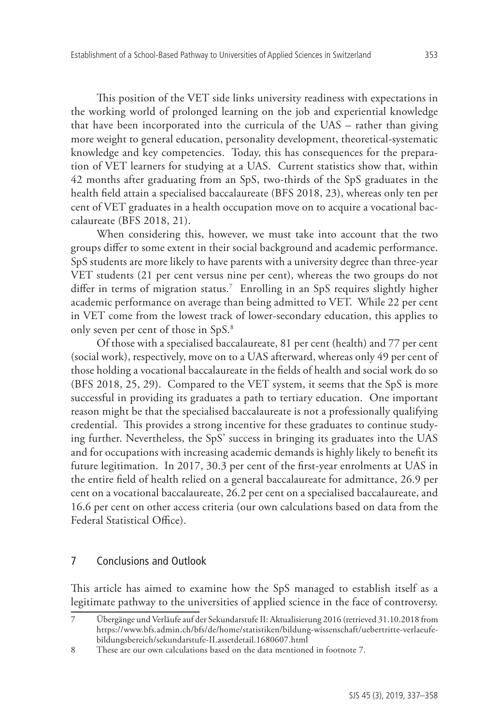This position of the VET side links university readiness with expectations in the working world of prolonged learning on the job and experiential knowledge that have been incorporated into the curricula of the UAS – rather than giving more weight to general education, personality development, theoretical-systematic knowledge and key competencies. Today, this has consequences for the preparation of VET learners for studying at a UAS. Current statistics show that, within 42 months after graduating from an SpS, two-thirds of the SpS graduates in the health field attain a specialised baccalaureate (BFS 2018, 23), whereas only ten per cent of VET graduates in a health occupation move on to acquire a vocational baccalaureate (BFS 2018, 21).

When considering this, however, we must take into account that the two groups differ to some extent in their social background and academic performance. SpS students are more likely to have parents with a university degree than three-year VET students (21 per cent versus nine per cent), whereas the two groups do not differ in terms of migration status.7 Enrolling in an SpS requires slightly higher academic performance on average than being admitted to VET. While 22 per cent in VET come from the lowest track of lower-secondary education, this applies to only seven per cent of those in SpS.8

Of those with a specialised baccalaureate, 81 per cent (health) and 77 per cent (social work), respectively, move on to a UAS afterward, whereas only 49 per cent of those holding a vocational baccalaureate in the fields of health and social work do so (BFS 2018, 25, 29). Compared to the VET system, it seems that the SpS is more successful in providing its graduates a path to tertiary education. One important reason might be that the specialised baccalaureate is not a professionally qualifying credential. This provides a strong incentive for these graduates to continue studying further. Nevertheless, the SpS' success in bringing its graduates into the UAS and for occupations with increasing academic demands is highly likely to benefit its future legitimation. In 2017, 30.3 per cent of the first-year enrolments at UAS in the entire field of health relied on a general baccalaureate for admittance, 26.9 per cent on a vocational baccalaureate, 26.2 per cent on a specialised baccalaureate, and 16.6 per cent on other access criteria (our own calculations based on data from the Federal Statistical Office).

## 7 Conclusions and Outlook

This article has aimed to examine how the SpS managed to establish itself as a legitimate pathway to the universities of applied science in the face of controversy.

<sup>7</sup> Übergänge und Verläufe auf der Sekundarstufe II: Aktualisierung 2016 (retrieved 31.10.2018 from https://www.bfs.admin.ch/bfs/de/home/statistiken/bildung-wissenschaft/uebertritte-verlaeufebildungsbereich/sekundarstufe-II.assetdetail.1680607.html

<sup>8</sup> These are our own calculations based on the data mentioned in footnote 7.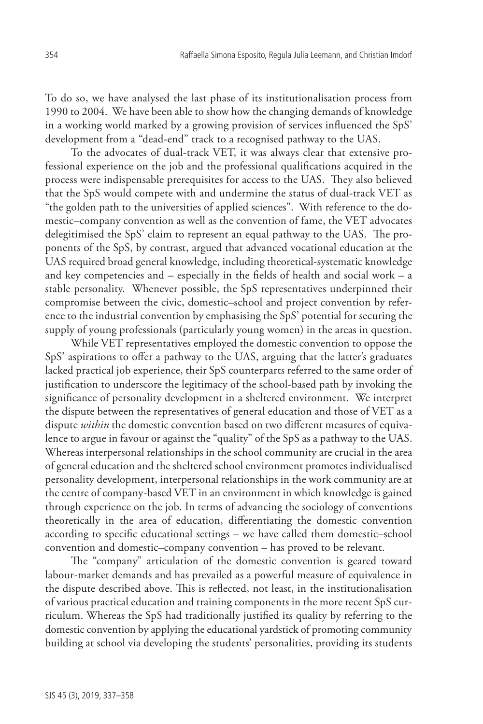To do so, we have analysed the last phase of its institutionalisation process from 1990 to 2004. We have been able to show how the changing demands of knowledge in a working world marked by a growing provision of services influenced the SpS' development from a "dead-end" track to a recognised pathway to the UAS.

To the advocates of dual-track VET, it was always clear that extensive professional experience on the job and the professional qualifications acquired in the process were indispensable prerequisites for access to the UAS. They also believed that the SpS would compete with and undermine the status of dual-track VET as "the golden path to the universities of applied sciences". With reference to the domestic–company convention as well as the convention of fame, the VET advocates delegitimised the SpS' claim to represent an equal pathway to the UAS. The proponents of the SpS, by contrast, argued that advanced vocational education at the UAS required broad general knowledge, including theoretical-systematic knowledge and key competencies and – especially in the fields of health and social work – a stable personality. Whenever possible, the SpS representatives underpinned their compromise between the civic, domestic–school and project convention by reference to the industrial convention by emphasising the SpS' potential for securing the supply of young professionals (particularly young women) in the areas in question.

While VET representatives employed the domestic convention to oppose the SpS' aspirations to offer a pathway to the UAS, arguing that the latter's graduates lacked practical job experience, their SpS counterparts referred to the same order of justification to underscore the legitimacy of the school-based path by invoking the significance of personality development in a sheltered environment. We interpret the dispute between the representatives of general education and those of VET as a dispute *within* the domestic convention based on two different measures of equivalence to argue in favour or against the "quality" of the SpS as a pathway to the UAS. Whereas interpersonal relationships in the school community are crucial in the area of general education and the sheltered school environment promotes individualised personality development, interpersonal relationships in the work community are at the centre of company-based VET in an environment in which knowledge is gained through experience on the job. In terms of advancing the sociology of conventions theoretically in the area of education, differentiating the domestic convention according to specific educational settings – we have called them domestic–school convention and domestic–company convention – has proved to be relevant.

The "company" articulation of the domestic convention is geared toward labour-market demands and has prevailed as a powerful measure of equivalence in the dispute described above. This is reflected, not least, in the institutionalisation of various practical education and training components in the more recent SpS curriculum. Whereas the SpS had traditionally justified its quality by referring to the domestic convention by applying the educational yardstick of promoting community building at school via developing the students' personalities, providing its students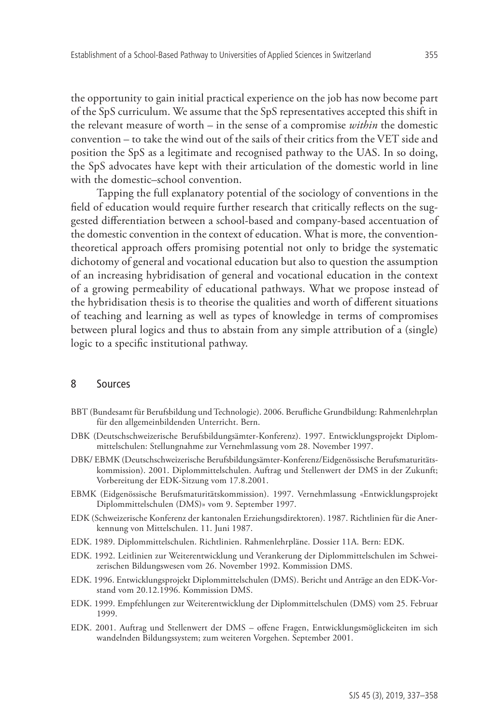the opportunity to gain initial practical experience on the job has now become part of the SpS curriculum. We assume that the SpS representatives accepted this shift in the relevant measure of worth – in the sense of a compromise *within* the domestic convention – to take the wind out of the sails of their critics from the VET side and position the SpS as a legitimate and recognised pathway to the UAS. In so doing, the SpS advocates have kept with their articulation of the domestic world in line with the domestic–school convention.

Tapping the full explanatory potential of the sociology of conventions in the field of education would require further research that critically reflects on the suggested differentiation between a school-based and company-based accentuation of the domestic convention in the context of education. What is more, the conventiontheoretical approach offers promising potential not only to bridge the systematic dichotomy of general and vocational education but also to question the assumption of an increasing hybridisation of general and vocational education in the context of a growing permeability of educational pathways. What we propose instead of the hybridisation thesis is to theorise the qualities and worth of different situations of teaching and learning as well as types of knowledge in terms of compromises between plural logics and thus to abstain from any simple attribution of a (single) logic to a specific institutional pathway.

### 8 Sources

- BBT (Bundesamt für Berufsbildung und Technologie). 2006. Berufliche Grundbildung: Rahmenlehrplan für den allgemeinbildenden Unterricht. Bern.
- DBK (Deutschschweizerische Berufsbildungsämter-Konferenz). 1997. Entwicklungsprojekt Diplommittelschulen: Stellungnahme zur Vernehmlassung vom 28. November 1997.
- DBK/ EBMK (Deutschschweizerische Berufsbildungsämter-Konferenz/Eidgenössische Berufsmaturitätskommission). 2001. Diplommittelschulen. Auftrag und Stellenwert der DMS in der Zukunft; Vorbereitung der EDK-Sitzung vom 17.8.2001.
- EBMK (Eidgenössische Berufsmaturitätskommission). 1997. Vernehmlassung «Entwicklungsprojekt Diplommittelschulen (DMS)» vom 9. September 1997.
- EDK (Schweizerische Konferenz der kantonalen Erziehungsdirektoren). 1987. Richtlinien für die Anerkennung von Mittelschulen. 11. Juni 1987.
- EDK. 1989. Diplommittelschulen. Richtlinien. Rahmenlehrpläne. Dossier 11A. Bern: EDK.
- EDK. 1992. Leitlinien zur Weiterentwicklung und Verankerung der Diplommittelschulen im Schweizerischen Bildungswesen vom 26. November 1992. Kommission DMS.
- EDK. 1996. Entwicklungsprojekt Diplommittelschulen (DMS). Bericht und Anträge an den EDK-Vorstand vom 20.12.1996. Kommission DMS.
- EDK. 1999. Empfehlungen zur Weiterentwicklung der Diplommittelschulen (DMS) vom 25. Februar 1999.
- EDK. 2001. Auftrag und Stellenwert der DMS offene Fragen, Entwicklungsmöglickeiten im sich wandelnden Bildungssystem; zum weiteren Vorgehen. September 2001.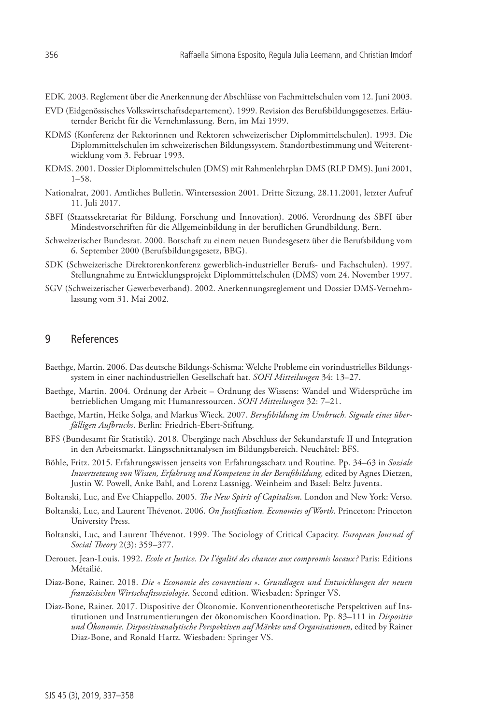EDK. 2003. Reglement über die Anerkennung der Abschlüsse von Fachmittelschulen vom 12. Juni 2003.

- EVD (Eidgenössisches Volkswirtschaftsdepartement). 1999. Revision des Berufsbildungsgesetzes. Erläuternder Bericht für die Vernehmlassung. Bern, im Mai 1999.
- KDMS (Konferenz der Rektorinnen und Rektoren schweizerischer Diplommittelschulen). 1993. Die Diplommittelschulen im schweizerischen Bildungssystem. Standortbestimmung und Weiterentwicklung vom 3. Februar 1993.
- KDMS. 2001. Dossier Diplommittelschulen (DMS) mit Rahmenlehrplan DMS (RLP DMS), Juni 2001, 1–58.
- Nationalrat, 2001. Amtliches Bulletin. Wintersession 2001. Dritte Sitzung, 28.11.2001, letzter Aufruf 11. Juli 2017.
- SBFI (Staatssekretariat für Bildung, Forschung und Innovation). 2006. Verordnung des SBFI über Mindestvorschriften für die Allgemeinbildung in der beruflichen Grundbildung. Bern.
- Schweizerischer Bundesrat. 2000. Botschaft zu einem neuen Bundesgesetz über die Berufsbildung vom 6. September 2000 (Berufsbildungsgesetz, BBG).
- SDK (Schweizerische Direktorenkonferenz gewerblich-industrieller Berufs- und Fachschulen). 1997. Stellungnahme zu Entwicklungsprojekt Diplommittelschulen (DMS) vom 24. November 1997.
- SGV (Schweizerischer Gewerbeverband). 2002. Anerkennungsreglement und Dossier DMS-Vernehmlassung vom 31. Mai 2002.

## 9 References

- Baethge, Martin. 2006. Das deutsche Bildungs-Schisma: Welche Probleme ein vorindustrielles Bildungssystem in einer nachindustriellen Gesellschaft hat. *SOFI Mitteilungen* 34: 13–27.
- Baethge, Martin. 2004. Ordnung der Arbeit Ordnung des Wissens: Wandel und Widersprüche im betrieblichen Umgang mit Humanressourcen. *SOFI Mitteilungen* 32: 7–21.
- Baethge, Martin, Heike Solga, and Markus Wieck. 2007. *Berufsbildung im Umbruch. Signale eines überfälligen Aufbruchs*. Berlin: Friedrich-Ebert-Stiftung.
- BFS (Bundesamt für Statistik). 2018. Übergänge nach Abschluss der Sekundarstufe II und Integration in den Arbeitsmarkt. Längsschnittanalysen im Bildungsbereich. Neuchâtel: BFS.
- Böhle, Fritz. 2015. Erfahrungswissen jenseits von Erfahrungsschatz und Routine. Pp. 34–63 in *Soziale Inwertsetzung von Wissen, Erfahrung und Kompetenz in der Berufsbildung,* edited by Agnes Dietzen, Justin W. Powell, Anke Bahl, and Lorenz Lassnigg. Weinheim and Basel: Beltz Juventa.
- Boltanski, Luc, and Eve Chiappello. 2005. *The New Spirit of Capitalism*. London and New York: Verso.
- Boltanski, Luc, and Laurent Thévenot. 2006. *On Justification. Economies of Worth*. Princeton: Princeton University Press.
- Boltanski, Luc, and Laurent Thévenot. 1999. The Sociology of Critical Capacity. *European Journal of Social Theory* 2(3): 359–377.
- Derouet, Jean-Louis. 1992. *Ecole et Justice. De l'égalité des chances aux compromis locaux ?* Paris: Editions Métailié.
- Diaz-Bone, Rainer. 2018. *Die « Economie des conventions »*. *Grundlagen und Entwicklungen der neuen französischen Wirtschaftssoziologie*. Second edition. Wiesbaden: Springer VS.
- Diaz-Bone, Rainer. 2017. Dispositive der Ökonomie. Konventionentheoretische Perspektiven auf Institutionen und Instrumentierungen der ökonomischen Koordination. Pp. 83–111 in *Dispositiv und Ökonomie. Dispositivanalytische Perspektiven auf Märkte und Organisationen,* edited by Rainer Diaz-Bone, and Ronald Hartz. Wiesbaden: Springer VS.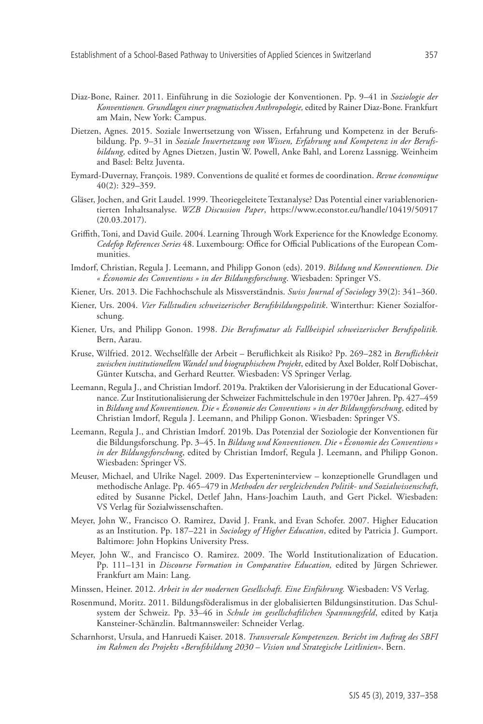- Diaz-Bone, Rainer. 2011. Einführung in die Soziologie der Konventionen. Pp. 9–41 in *Soziologie der Konventionen. Grundlagen einer pragmatischen Anthropologie,* edited by Rainer Diaz-Bone. Frankfurt am Main, New York: Campus.
- Dietzen, Agnes. 2015. Soziale Inwertsetzung von Wissen, Erfahrung und Kompetenz in der Berufsbildung. Pp. 9–31 in *Soziale Inwertsetzung von Wissen, Erfahrung und Kompetenz in der Berufsbildung,* edited by Agnes Dietzen, Justin W. Powell, Anke Bahl, and Lorenz Lassnigg. Weinheim and Basel: Beltz Juventa.
- Eymard-Duvernay, François. 1989. Conventions de qualité et formes de coordination. *Revue économique* 40(2): 329–359.
- Gläser, Jochen, and Grit Laudel. 1999. Theoriegeleitete Textanalyse? Das Potential einer variablenorientierten Inhaltsanalyse. *WZB Discussion Paper*, https://www.econstor.eu/handle/10419/50917 (20.03.2017).
- Griffith, Toni, and David Guile. 2004. Learning Through Work Experience for the Knowledge Economy. *Cedefop References Series* 48. Luxembourg: Office for Official Publications of the European Communities.
- Imdorf, Christian, Regula J. Leemann, and Philipp Gonon (eds). 2019. *Bildung und Konventionen. Die « Économie des Conventions » in der Bildungsforschung*. Wiesbaden: Springer VS.
- Kiener, Urs. 2013. Die Fachhochschule als Missverständnis. *Swiss Journal of Sociology* 39(2): 341–360.
- Kiener, Urs. 2004. *Vier Fallstudien schweizerischer Berufsbildungspolitik*. Winterthur: Kiener Sozialforschung.
- Kiener, Urs, and Philipp Gonon. 1998. *Die Berufsmatur als Fallbeispiel schweizerischer Berufspolitik.* Bern, Aarau.
- Kruse, Wilfried. 2012. Wechselfälle der Arbeit Beruflichkeit als Risiko? Pp. 269–282 in *Beruflichkeit zwischen institutionellem Wandel und biographischem Projekt*, edited by Axel Bolder, Rolf Dobischat, Günter Kutscha, and Gerhard Reutter. Wiesbaden: VS Springer Verlag.
- Leemann, Regula J., and Christian Imdorf. 2019a. Praktiken der Valorisierung in der Educational Governance. Zur Institutionalisierung der Schweizer Fachmittelschule in den 1970er Jahren. Pp. 427–459 in *Bildung und Konventionen. Die « Économie des Conventions » in der Bildungsforschung*, edited by Christian Imdorf, Regula J. Leemann, and Philipp Gonon. Wiesbaden: Springer VS.
- Leemann, Regula J., and Christian Imdorf. 2019b. Das Potenzial der Soziologie der Konventionen für die Bildungsforschung. Pp. 3–45. In *Bildung und Konventionen. Die « Économie des Conventions » in der Bildungsforschung*, edited by Christian Imdorf, Regula J. Leemann, and Philipp Gonon. Wiesbaden: Springer VS.
- Meuser, Michael, and Ulrike Nagel. 2009. Das Experteninterview konzeptionelle Grundlagen und methodische Anlage. Pp. 465–479 in *Methoden der vergleichenden Politik- und Sozialwissenschaft*, edited by Susanne Pickel, Detlef Jahn, Hans-Joachim Lauth, and Gert Pickel. Wiesbaden: VS Verlag für Sozialwissenschaften.
- Meyer, John W., Francisco O. Ramirez, David J. Frank, and Evan Schofer. 2007. Higher Education as an Institution. Pp. 187–221 in *Sociology of Higher Education*, edited by Patricia J. Gumport. Baltimore: John Hopkins University Press.
- Meyer, John W., and Francisco O. Ramirez. 2009. The World Institutionalization of Education. Pp. 111–131 in *Discourse Formation in Comparative Education,* edited by Jürgen Schriewer. Frankfurt am Main: Lang.
- Minssen, Heiner. 2012. *Arbeit in der modernen Gesellschaft. Eine Einführung.* Wiesbaden: VS Verlag.
- Rosenmund, Moritz. 2011. Bildungsföderalismus in der globalisierten Bildungsinstitution. Das Schulsystem der Schweiz. Pp. 33–46 in *Schule im gesellschaftlichen Spannungsfeld*, edited by Katja Kansteiner-Schänzlin. Baltmannsweiler: Schneider Verlag.
- Scharnhorst, Ursula, and Hanruedi Kaiser. 2018. *Transversale Kompetenzen. Bericht im Auftrag des SBFI im Rahmen des Projekts «Berufsbildung 2030* – *Vision und Strategische Leitlinien»*. Bern.